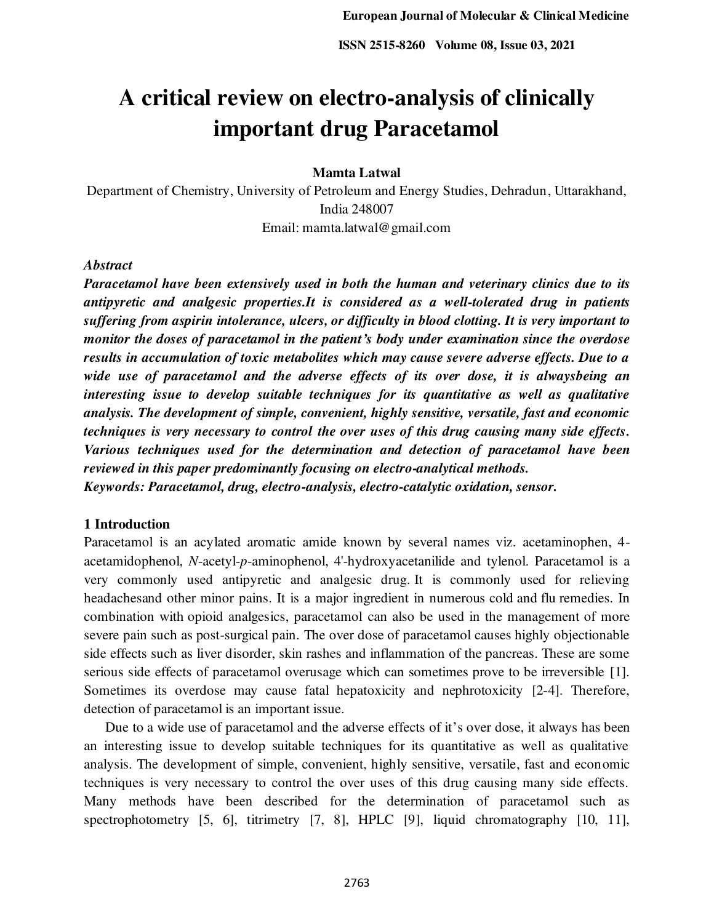# **A critical review on electro-analysis of clinically important drug Paracetamol**

**Mamta Latwal** 

Department of Chemistry, University of Petroleum and Energy Studies, Dehradun, Uttarakhand, India 248007 Email: mamta.latwal@gmail.com

*Abstract* 

*Paracetamol have been extensively used in both the human and veterinary clinics due to its antipyretic and analgesic properties.It is considered as a well-tolerated drug in patients suffering from aspirin intolerance, ulcers, or difficulty in blood clotting. It is very important to monitor the doses of paracetamol in the patient's body under examination since the overdose results in accumulation of toxic metabolites which may cause severe adverse effects. Due to a wide use of paracetamol and the adverse effects of its over dose, it is alwaysbeing an interesting issue to develop suitable techniques for its quantitative as well as qualitative analysis. The development of simple, convenient, highly sensitive, versatile, fast and economic techniques is very necessary to control the over uses of this drug causing many side effects. Various techniques used for the determination and detection of paracetamol have been reviewed in this paper predominantly focusing on electro-analytical methods. Keywords: Paracetamol, drug, electro-analysis, electro-catalytic oxidation, sensor.* 

# **1 Introduction**

Paracetamol is an acylated aromatic amide known by several names viz. acetaminophen, 4 acetamidophenol, *N*-acetyl-*p*-aminophenol, 4'-hydroxyacetanilide and tylenol. Paracetamol is a very commonly used antipyretic and analgesic drug. It is commonly used for relieving [headachesa](http://en.wikipedia.org/wiki/Headache)nd other minor pains. It is a major ingredient in numerous [cold](http://en.wikipedia.org/wiki/Common_cold) and [flu](http://en.wikipedia.org/wiki/Influenza) remedies. In combination with [opioid analgesics,](http://en.wikipedia.org/wiki/Opioid_analgesic) paracetamol can also be used in the management of more severe pain such as post-surgical pain. The over dose of paracetamol causes highly objectionable side effects such as liver disorder, skin rashes and inflammation of the pancreas. These are some serious side effects of paracetamol overusage which can sometimes prove to be irreversible [1]. Sometimes its overdose may cause fatal hepatoxicity and nephrotoxicity [2-4]. Therefore, detection of paracetamol is an important issue.

 Due to a wide use of paracetamol and the adverse effects of it's over dose, it always has been an interesting issue to develop suitable techniques for its quantitative as well as qualitative analysis. The development of simple, convenient, highly sensitive, versatile, fast and economic techniques is very necessary to control the over uses of this drug causing many side effects. Many methods have been described for the determination of paracetamol such as spectrophotometry [5, 6], titrimetry [7, 8], HPLC [9], liquid chromatography [10, 11],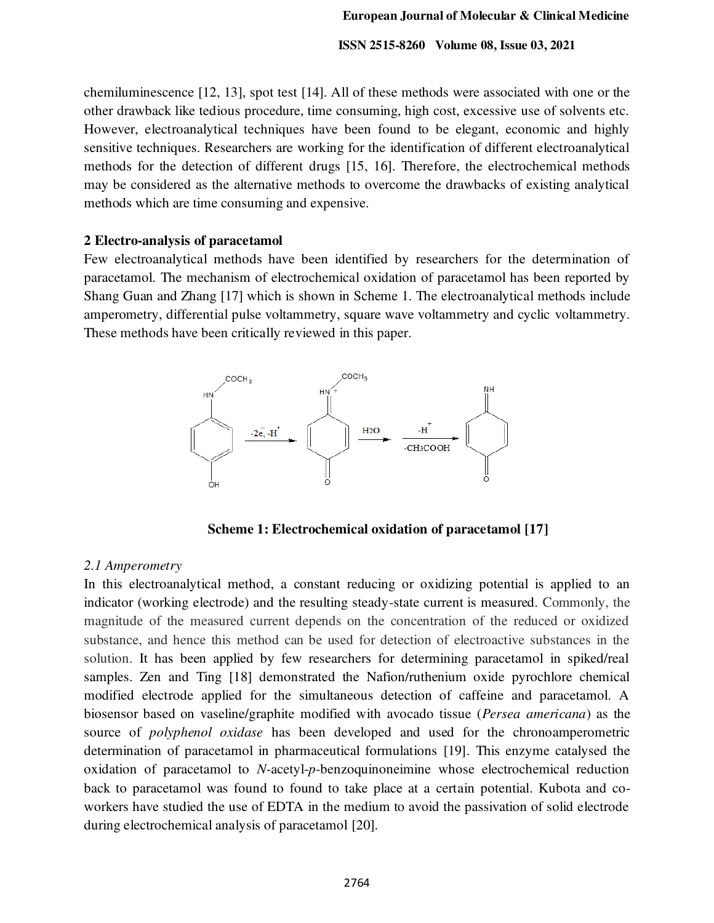chemiluminescence [12, 13], spot test [14]. All of these methods were associated with one or the other drawback like tedious procedure, time consuming, high cost, excessive use of solvents etc. However, electroanalytical techniques have been found to be elegant, economic and highly sensitive techniques. Researchers are working for the identification of different electroanalytical methods for the detection of different drugs [15, 16]. Therefore, the electrochemical methods may be considered as the alternative methods to overcome the drawbacks of existing analytical methods which are time consuming and expensive.

# **2 Electro-analysis of paracetamol**

Few electroanalytical methods have been identified by researchers for the determination of paracetamol. The mechanism of electrochemical oxidation of paracetamol has been reported by Shang Guan and Zhang [17] which is shown in Scheme 1. The electroanalytical methods include amperometry, differential pulse voltammetry, square wave voltammetry and cyclic voltammetry. These methods have been critically reviewed in this paper.



**Scheme 1: Electrochemical oxidation of paracetamol [17]**

# *2.1 Amperometry*

In this electroanalytical method, a constant reducing or oxidizing potential is applied to an indicator (working electrode) and the resulting steady-state current is measured. Commonly, the magnitude of the measured current depends on the concentration of the reduced or oxidized substance, and hence this method can be used for detection of electroactive substances in the solution. It has been applied by few researchers for determining paracetamol in spiked/real samples. Zen and Ting [18] demonstrated the Nafion/ruthenium oxide pyrochlore chemical modified electrode applied for the simultaneous detection of caffeine and paracetamol. A biosensor based on vaseline/graphite modified with avocado tissue (*Persea americana*) as the source of *polyphenol oxidase* has been developed and used for the chronoamperometric determination of paracetamol in pharmaceutical formulations [19]. This enzyme catalysed the oxidation of paracetamol to *N*-acetyl-*p*-benzoquinoneimine whose electrochemical reduction back to paracetamol was found to found to take place at a certain potential. Kubota and coworkers have studied the use of EDTA in the medium to avoid the passivation of solid electrode during electrochemical analysis of paracetamol [20].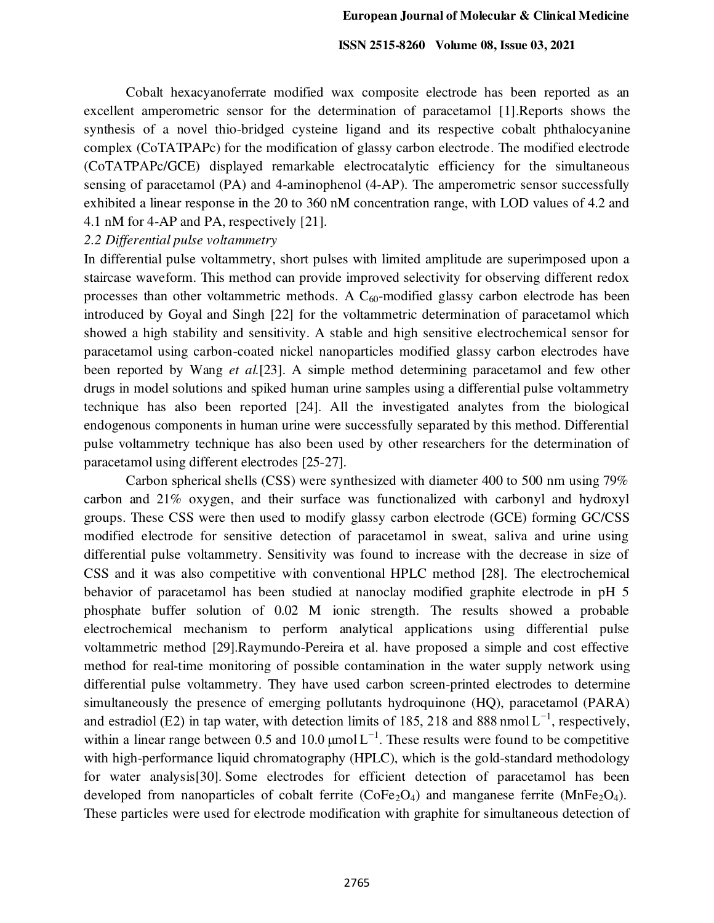Cobalt hexacyanoferrate modified wax composite electrode has been reported as an excellent amperometric sensor for the determination of paracetamol [1].Reports shows the synthesis of a novel thio-bridged cysteine ligand and its respective cobalt phthalocyanine complex (CoTATPAPc) for the modification of glassy carbon electrode. The modified electrode (CoTATPAPc/GCE) displayed remarkable electrocatalytic efficiency for the simultaneous sensing of paracetamol (PA) and 4-aminophenol (4-AP). The amperometric sensor successfully exhibited a linear response in the 20 to 360 nM concentration range, with LOD values of 4.2 and 4.1 nM for 4-AP and PA, respectively [21].

# *2.2 Differential pulse voltammetry*

In differential pulse voltammetry, short pulses with limited amplitude are superimposed upon a staircase waveform. This method can provide improved selectivity for observing different redox processes than other voltammetric methods. A  $C_{60}$ -modified glassy carbon electrode has been introduced by Goyal and Singh [22] for the voltammetric determination of paracetamol which showed a high stability and sensitivity. A stable and high sensitive electrochemical sensor for paracetamol using carbon-coated nickel nanoparticles modified glassy carbon electrodes have been reported by Wang *et al.*[23]. A simple method determining paracetamol and few other drugs in model solutions and spiked human urine samples using a differential pulse voltammetry technique has also been reported [24]. All the investigated analytes from the biological endogenous components in human urine were successfully separated by this method. Differential pulse voltammetry technique has also been used by other researchers for the determination of paracetamol using different electrodes [25-27].

Carbon spherical shells (CSS) were synthesized with diameter 400 to 500 nm using 79% carbon and 21% oxygen, and their surface was functionalized with carbonyl and hydroxyl groups. These CSS were then used to modify glassy carbon electrode (GCE) forming GC/CSS modified electrode for sensitive detection of paracetamol in sweat, saliva and urine using differential pulse voltammetry. Sensitivity was found to increase with the decrease in size of CSS and it was also competitive with conventional HPLC method [28]. The electrochemical behavior of paracetamol has been studied at nanoclay modified graphite electrode in pH 5 phosphate buffer solution of 0.02 M ionic strength. The results showed a probable electrochemical mechanism to perform analytical applications using differential pulse voltammetric method [29].Raymundo-Pereira et al. have proposed a simple and cost effective method for real-time monitoring of possible contamination in the water supply network using differential pulse voltammetry. They have used carbon screen-printed electrodes to determine simultaneously the presence of emerging pollutants hydroquinone (HQ), paracetamol (PARA) and estradiol (E2) in tap water, with detection limits of 185, 218 and 888 nmol $L^{-1}$ , respectively, within a linear range between 0.5 and 10.0  $\mu$ mol $L^{-1}$ . These results were found to be competitive with high-performance liquid chromatography (HPLC), which is the gold-standard methodology for water analysis[30]. Some electrodes for efficient detection of paracetamol has been developed from nanoparticles of cobalt ferrite ( $\text{CoFe}_2\text{O}_4$ ) and manganese ferrite ( $\text{MnFe}_2\text{O}_4$ ). These particles were used for electrode modification with graphite for simultaneous detection of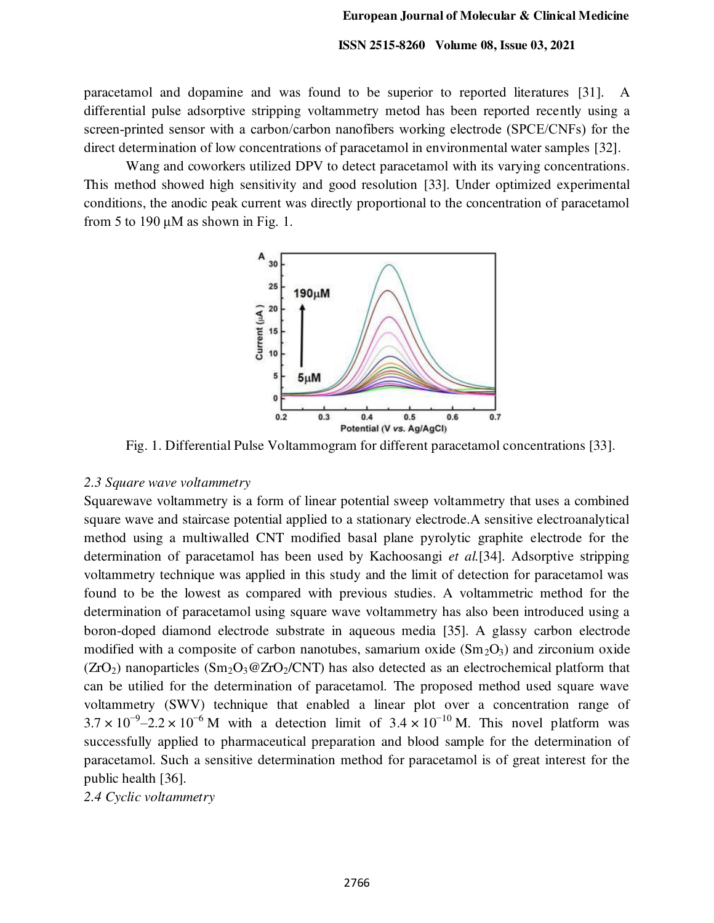paracetamol and dopamine and was found to be superior to reported literatures [31]. A differential pulse adsorptive stripping voltammetry metod has been reported recently using a screen-printed sensor with a carbon/carbon nanofibers working electrode (SPCE/CNFs) for the direct determination of low concentrations of paracetamol in environmental water samples [32].

Wang and coworkers utilized DPV to detect paracetamol with its varying concentrations. This method showed high sensitivity and good resolution [33]. Under optimized experimental conditions, the anodic peak current was directly proportional to the concentration of paracetamol from 5 to 190  $\mu$ M as shown in Fig. 1.



Fig. 1. Differential Pulse Voltammogram for different paracetamol concentrations [33].

#### *2.3 Square wave voltammetry*

Squarewave voltammetry is a form of linear potential sweep voltammetry that uses a combined square wave and staircase potential applied to a stationary electrode.A sensitive electroanalytical method using a multiwalled CNT modified basal plane pyrolytic graphite electrode for the determination of paracetamol has been used by Kachoosangi *et al.*[34]. Adsorptive stripping voltammetry technique was applied in this study and the limit of detection for paracetamol was found to be the lowest as compared with previous studies. A voltammetric method for the determination of paracetamol using square wave voltammetry has also been introduced using a boron-doped diamond electrode substrate in aqueous media [35]. A glassy carbon electrode modified with a composite of carbon nanotubes, samarium oxide  $(Sm<sub>2</sub>O<sub>3</sub>)$  and zirconium oxide  $(ZrO<sub>2</sub>)$  nanoparticles  $(Sm<sub>2</sub>O<sub>3</sub>@ZrO<sub>2</sub>/CNT)$  has also detected as an electrochemical platform that can be utilied for the determination of paracetamol. The proposed method used square wave voltammetry (SWV) technique that enabled a linear plot over a concentration range of  $3.7 \times 10^{-9} - 2.2 \times 10^{-6}$  M with a detection limit of  $3.4 \times 10^{-10}$  M. This novel platform was successfully applied to pharmaceutical preparation and blood sample for the determination of paracetamol. Such a sensitive determination method for paracetamol is of great interest for the public health [36].

*2.4 Cyclic voltammetry*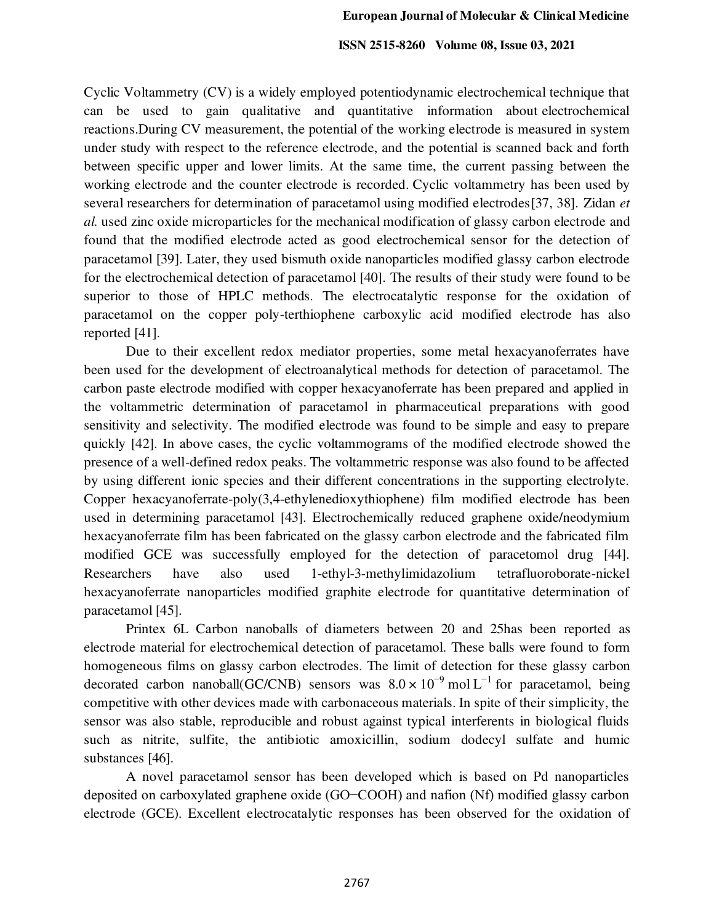Cyclic Voltammetry (CV) is a widely employed potentiodynamic electrochemical technique that can be used to gain qualitative and quantitative information about [electrochemical](https://www.sciencedirect.com/topics/materials-science/electrochemical-reaction)  [reactions.](https://www.sciencedirect.com/topics/materials-science/electrochemical-reaction)During CV measurement, the potential of the working electrode is measured in system under study with respect to the reference electrode, and the potential is scanned back and forth between specific upper and lower limits. At the same time, the current passing between the working electrode and the counter electrode is recorded. Cyclic voltammetry has been used by several researchers for determination of paracetamol using modified electrodes[37, 38]. Zidan *et al.* used zinc oxide microparticles for the mechanical modification of glassy carbon electrode and found that the modified electrode acted as good electrochemical sensor for the detection of paracetamol [39]. Later, they used bismuth oxide nanoparticles modified glassy carbon electrode for the electrochemical detection of paracetamol [40]. The results of their study were found to be superior to those of HPLC methods. The electrocatalytic response for the oxidation of paracetamol on the copper poly-terthiophene carboxylic acid modified electrode has also reported [41].

Due to their excellent redox mediator properties, some metal hexacyanoferrates have been used for the development of electroanalytical methods for detection of paracetamol. The carbon paste electrode modified with copper hexacyanoferrate has been prepared and applied in the voltammetric determination of paracetamol in pharmaceutical preparations with good sensitivity and selectivity. The modified electrode was found to be simple and easy to prepare quickly [42]. In above cases, the cyclic voltammograms of the modified electrode showed the presence of a well-defined redox peaks. The voltammetric response was also found to be affected by using different ionic species and their different concentrations in the supporting electrolyte. Copper hexacyanoferrate-poly(3,4-ethylenedioxythiophene) film modified electrode has been used in determining paracetamol [43]. Electrochemically reduced graphene oxide/neodymium hexacyanoferrate film has been fabricated on the glassy carbon electrode and the fabricated film modified GCE was successfully employed for the detection of paracetomol drug [44]. Researchers have also used 1-ethyl-3-methylimidazolium tetrafluoroborate-nickel hexacyanoferrate nanoparticles modified graphite electrode for quantitative determination of paracetamol [45].

Printex 6L Carbon nanoballs of diameters between 20 and 25has been reported as electrode material for electrochemical detection of paracetamol. These balls were found to form homogeneous films on glassy carbon electrodes. The limit of detection for these glassy carbon decorated carbon nanoball(GC/CNB) sensors was  $8.0 \times 10^{-9}$  mol L<sup>-1</sup> for paracetamol, being competitive with other devices made with carbonaceous materials. In spite of their simplicity, the sensor was also stable, reproducible and robust against typical interferents in biological fluids such as nitrite, sulfite, the antibiotic amoxicillin, sodium dodecyl sulfate and humic substances [46].

A novel paracetamol sensor has been developed which is based on Pd nanoparticles deposited on carboxylated graphene oxide (GO−COOH) and nafion (Nf) modified glassy carbon electrode (GCE). Excellent electrocatalytic responses has been observed for the oxidation of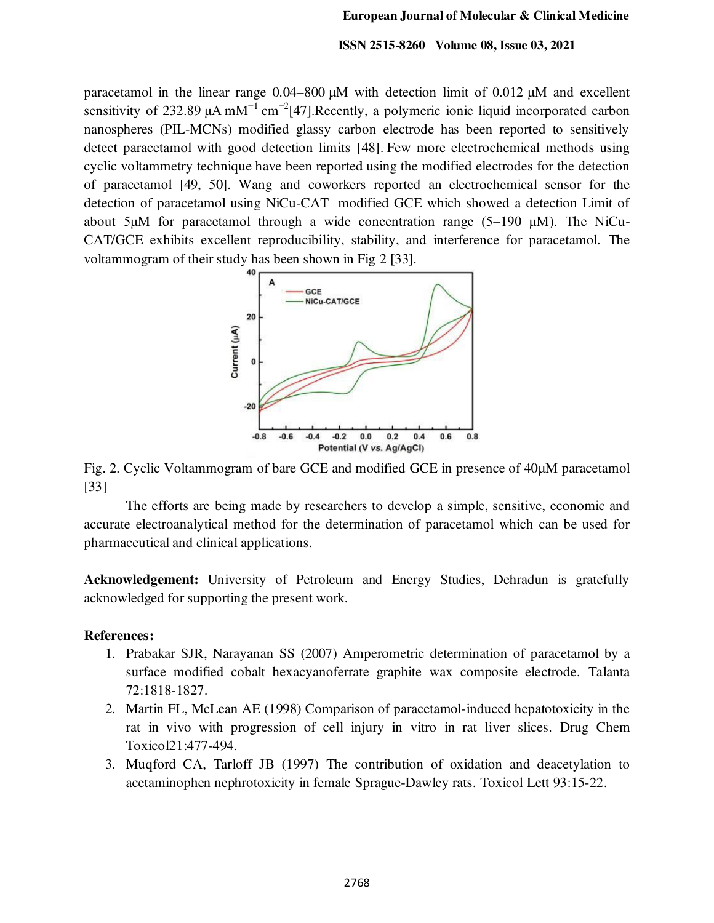paracetamol in the linear range 0.04–800 μM with detection limit of 0.012 μM and excellent sensitivity of 232.89  $\mu$ A mM<sup>-1</sup> cm<sup>-2</sup>[47]. Recently, a polymeric ionic liquid incorporated carbon nanospheres (PIL-MCNs) modified glassy carbon electrode has been reported to sensitively detect paracetamol with good detection limits [48]. Few more electrochemical methods using cyclic voltammetry technique have been reported using the modified electrodes for the detection of paracetamol [49, 50]. Wang and coworkers reported an electrochemical sensor for the detection of paracetamol using NiCu-CAT modified GCE which showed a detection Limit of about 5μM for paracetamol through a wide concentration range (5–190 μM). The NiCu-CAT/GCE exhibits excellent reproducibility, stability, and interference for paracetamol. The voltammogram of their study has been shown in Fig 2 [33].



Fig. 2. Cyclic Voltammogram of bare GCE and modified GCE in presence of 40μM paracetamol [33]

The efforts are being made by researchers to develop a simple, sensitive, economic and accurate electroanalytical method for the determination of paracetamol which can be used for pharmaceutical and clinical applications.

**Acknowledgement:** University of Petroleum and Energy Studies, Dehradun is gratefully acknowledged for supporting the present work.

# **References:**

- 1. Prabakar SJR, Narayanan SS (2007) Amperometric determination of paracetamol by a surface modified cobalt hexacyanoferrate graphite wax composite electrode. Talanta 72:1818-1827.
- 2. Martin FL, McLean AE (1998) Comparison of paracetamol-induced hepatotoxicity in the rat in vivo with progression of cell injury in vitro in rat liver slices. Drug Chem Toxicol21:477-494.
- 3. Muqford CA, Tarloff JB (1997) The contribution of oxidation and deacetylation to acetaminophen nephrotoxicity in female Sprague-Dawley rats. Toxicol Lett 93:15-22.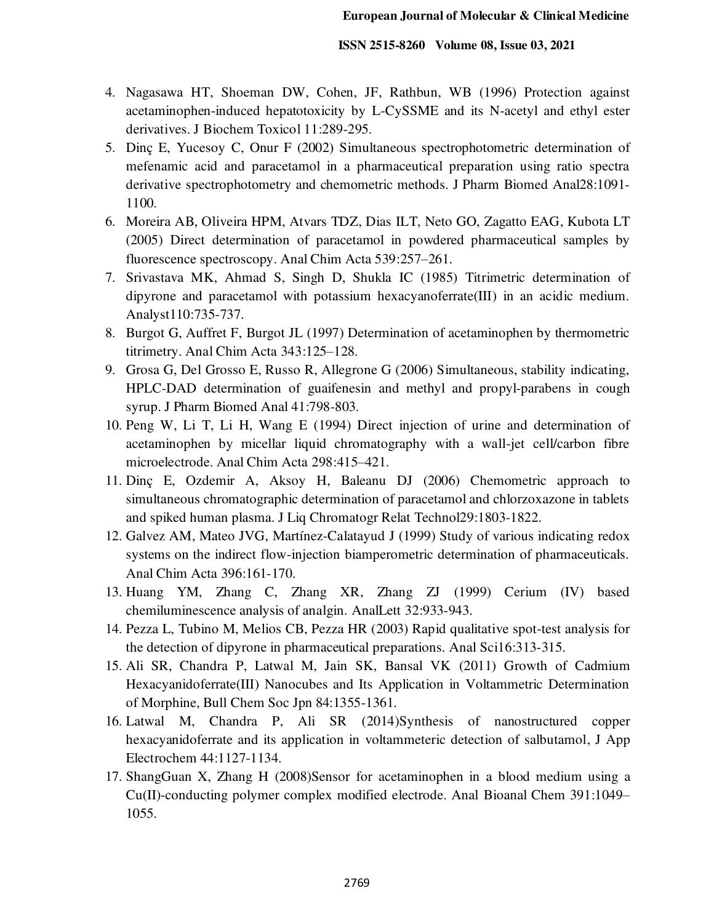- 4. Nagasawa HT, Shoeman DW, Cohen, JF, Rathbun, WB (1996) Protection against acetaminophen-induced hepatotoxicity by L-CySSME and its N-acetyl and ethyl ester derivatives. J Biochem Toxicol 11:289-295.
- 5. Dinç E, Yucesoy C, Onur F (2002) Simultaneous spectrophotometric determination of mefenamic acid and paracetamol in a pharmaceutical preparation using ratio spectra derivative spectrophotometry and chemometric methods. J Pharm Biomed Anal28:1091- 1100.
- 6. Moreira AB, Oliveira HPM, Atvars TDZ, Dias ILT, Neto GO, Zagatto EAG, Kubota LT (2005) Direct determination of paracetamol in powdered pharmaceutical samples by fluorescence spectroscopy. Anal Chim Acta 539:257–261.
- 7. Srivastava MK, Ahmad S, Singh D, Shukla IC (1985) Titrimetric determination of dipyrone and paracetamol with potassium hexacyanoferrate(III) in an acidic medium. Analyst110:735-737.
- 8. Burgot G, Auffret F, Burgot JL (1997) Determination of acetaminophen by thermometric titrimetry. Anal Chim Acta 343:125–128.
- 9. Grosa G, Del Grosso E, Russo R, Allegrone G (2006) Simultaneous, stability indicating, HPLC-DAD determination of guaifenesin and methyl and propyl-parabens in cough syrup. J Pharm Biomed Anal 41:798-803.
- 10. Peng W, Li T, Li H, Wang E (1994) Direct injection of urine and determination of acetaminophen by micellar liquid chromatography with a wall-jet cell/carbon fibre microelectrode. Anal Chim Acta 298:415–421.
- 11. Dinç E, Ozdemir A, Aksoy H, Baleanu DJ (2006) Chemometric approach to simultaneous chromatographic determination of paracetamol and chlorzoxazone in tablets and spiked human plasma. J Liq Chromatogr Relat Technol29:1803-1822.
- 12. Galvez AM, Mateo JVG, Martínez-Calatayud J (1999) Study of various indicating redox systems on the indirect flow-injection biamperometric determination of pharmaceuticals. Anal Chim Acta 396:161-170.
- 13. Huang YM, Zhang C, Zhang XR, Zhang ZJ (1999) Cerium (IV) based chemiluminescence analysis of analgin. AnalLett 32:933-943.
- 14. Pezza L, Tubino M, Melios CB, Pezza HR (2003) Rapid qualitative spot-test analysis for the detection of dipyrone in pharmaceutical preparations. Anal Sci16:313-315.
- 15. Ali SR, Chandra P, Latwal M, Jain SK, Bansal VK (2011) Growth of Cadmium Hexacyanidoferrate(III) Nanocubes and Its Application in Voltammetric Determination of Morphine, Bull Chem Soc Jpn 84:1355-1361.
- 16. Latwal M, Chandra P, Ali SR (2014)Synthesis of nanostructured copper hexacyanidoferrate and its application in voltammeteric detection of salbutamol, J App Electrochem 44:1127-1134.
- 17. ShangGuan X, Zhang H (2008)Sensor for acetaminophen in a blood medium using a Cu(II)-conducting polymer complex modified electrode. Anal Bioanal Chem 391:1049– 1055.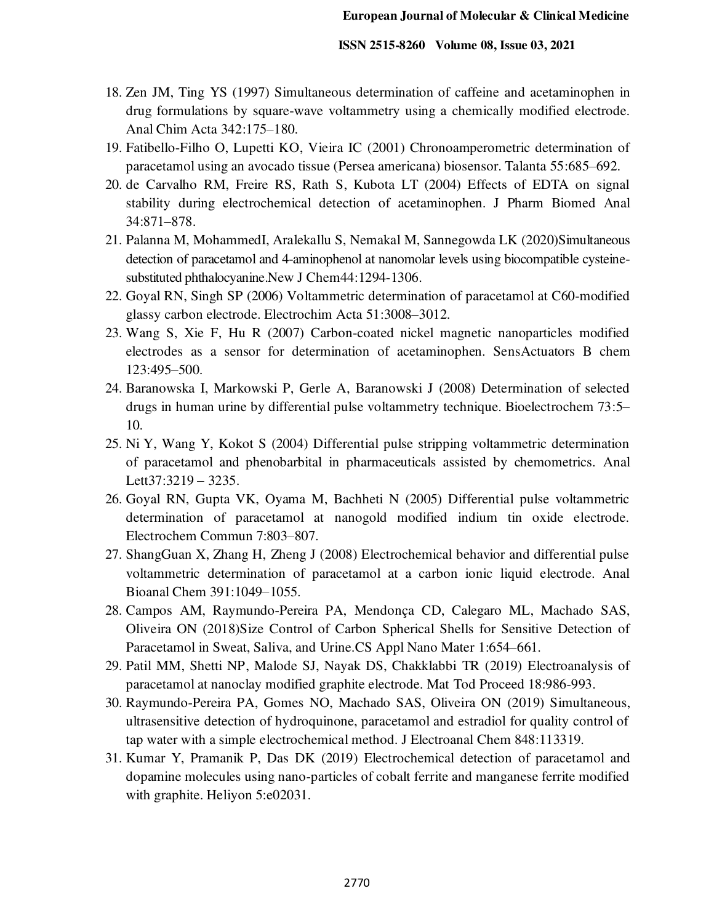- 18. Zen JM, Ting YS (1997) Simultaneous determination of caffeine and acetaminophen in drug formulations by square-wave voltammetry using a chemically modified electrode. Anal Chim Acta 342:175–180.
- 19. Fatibello-Filho O, Lupetti KO, Vieira IC (2001) Chronoamperometric determination of paracetamol using an avocado tissue (Persea americana) biosensor. Talanta 55:685–692.
- 20. de Carvalho RM, Freire RS, Rath S, Kubota LT (2004) Effects of EDTA on signal stability during electrochemical detection of acetaminophen. J Pharm Biomed Anal 34:871–878.
- 21. [Palanna](https://pubs.rsc.org/en/results?searchtext=Author%3AManjunatha%20Palanna) M, [MohammedI](https://pubs.rsc.org/en/results?searchtext=Author%3AImadadulla%20Mohammed), [Aralekallu](https://pubs.rsc.org/en/results?searchtext=Author%3AShambhulinga%20Aralekallu) S, [Nemakal](https://pubs.rsc.org/en/results?searchtext=Author%3AManjunatha%20Nemakal) M[, Sannegowda](https://pubs.rsc.org/en/results?searchtext=Author%3ALokesh%20Koodlur%20Sannegowda) LK (2020)Simultaneous detection of paracetamol and 4-aminophenol at nanomolar levels using biocompatible cysteinesubstituted phthalocyanine.New J Chem44:1294-1306.
- 22. Goyal RN, Singh SP (2006) Voltammetric determination of paracetamol at C60-modified glassy carbon electrode. Electrochim Acta 51:3008–3012.
- 23. Wang S, Xie F, Hu R (2007) Carbon-coated nickel magnetic nanoparticles modified electrodes as a sensor for determination of acetaminophen. SensActuators B chem 123:495–500.
- 24. Baranowska I, Markowski P, Gerle A, Baranowski J (2008) Determination of selected drugs in human urine by differential pulse voltammetry technique. Bioelectrochem 73:5– 10.
- 25. Ni Y, Wang Y, Kokot S (2004) Differential pulse stripping voltammetric determination of paracetamol and phenobarbital in pharmaceuticals assisted by chemometrics. [Anal](http://www.informaworld.com/smpp/title~db=all~content=t713597227)  [Lett](http://www.informaworld.com/smpp/title~db=all~content=t713597227)[37:](http://www.informaworld.com/smpp/title~db=all~content=t713597227~tab=issueslist~branches=37#v37)3219 – 3235.
- 26. Goyal RN, Gupta VK, Oyama M, Bachheti N (2005) Differential pulse voltammetric determination of paracetamol at nanogold modified indium tin oxide electrode. Electrochem Commun 7:803–807.
- 27. ShangGuan X, Zhang H, Zheng J (2008) Electrochemical behavior and differential pulse voltammetric determination of paracetamol at a carbon ionic liquid electrode. Anal Bioanal Chem 391:1049–1055.
- 28. [Campos](https://pubs.acs.org/action/doSearch?field1=Contrib&text1=Anderson+M.++Campos) AM, [Raymundo-Pereira](https://pubs.acs.org/action/doSearch?field1=Contrib&text1=Paulo+A.++Raymundo-Pereira) PA, [Mendonça](https://pubs.acs.org/action/doSearch?field1=Contrib&text1=Camila+D.++Mendon%C3%A7a) CD, [Calegaro](https://pubs.acs.org/action/doSearch?field1=Contrib&text1=Marcelo+L.++Calegaro) ML, [Machado](https://pubs.acs.org/action/doSearch?field1=Contrib&text1=Sergio+A.+S.++Machado) SAS, Oliveira ON (2018)Size Control of Carbon Spherical Shells for Sensitive Detection of Paracetamol in Sweat, Saliva, and Urine.CS Appl Nano Mater 1:654–661.
- 29. Patil MM, Shetti NP, Malode SJ, Nayak DS, Chakklabbi TR (2019) Electroanalysis of paracetamol at nanoclay modified graphite electrode. Mat Tod Proceed 18:986-993.
- 30. Raymundo-Pereira PA, Gomes NO, Machado SAS, Oliveira ON (2019) Simultaneous, ultrasensitive detection of hydroquinone, paracetamol and estradiol for quality control of tap water with a simple electrochemical method. J Electroanal Chem 848:113319.
- 31. Kumar Y, Pramanik P, Das DK (2019) Electrochemical detection of paracetamol and dopamine molecules using nano-particles of cobalt ferrite and manganese ferrite modified with graphite. Heliyon 5:e02031.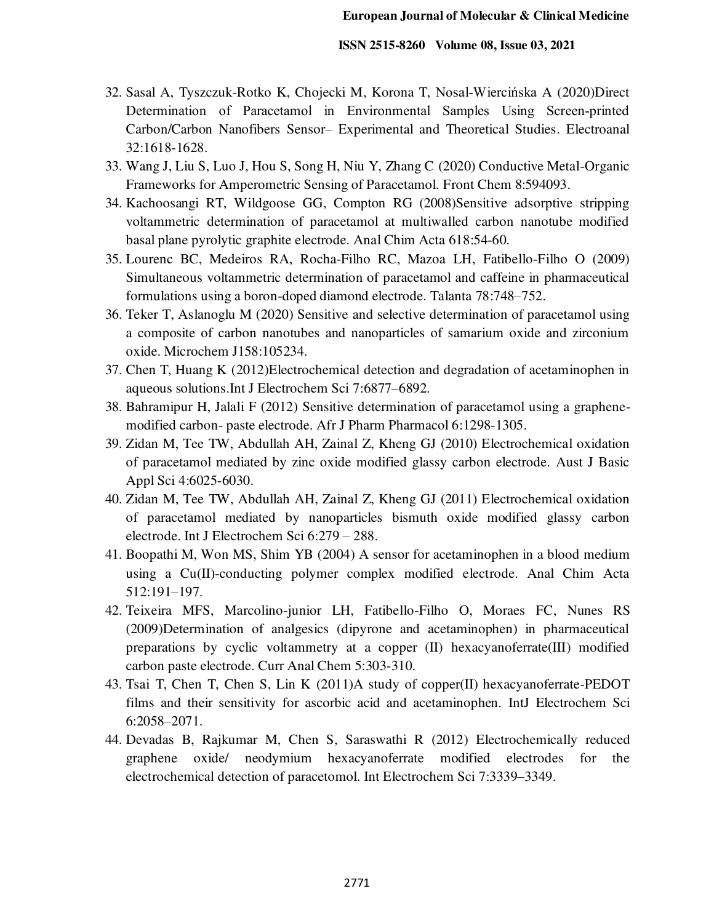- 32. Sasal A, Tyszczuk-Rotko K, Chojecki M, Korona T, [Nosal‐Wiercińska](https://analyticalsciencejournals.onlinelibrary.wiley.com/action/doSearch?ContribAuthorStored=Nosal-Wierci%C5%84ska%2C+Agnieszka) A (2020)Direct Determination of Paracetamol in Environmental Samples Using Screen-printed Carbon/Carbon Nanofibers Sensor– Experimental and Theoretical Studies. Electroanal 32:1618-1628.
- 33. Wang J, Liu S, Luo J, Hou S, Song H, Niu Y, Zhang C (2020) Conductive Metal-Organic Frameworks for Amperometric Sensing of Paracetamol. [Front Chem](https://www.ncbi.nlm.nih.gov/pmc/articles/PMC7793844/) 8:594093.
- 34. Kachoosangi RT, Wildgoose GG, Compton RG (2008)Sensitive adsorptive stripping voltammetric determination of paracetamol at multiwalled carbon nanotube modified basal plane pyrolytic graphite electrode. Anal Chim Acta 618:54-60.
- 35. Lourenc BC, Medeiros RA, Rocha-Filho RC, Mazoa LH, Fatibello-Filho O (2009) Simultaneous voltammetric determination of paracetamol and caffeine in pharmaceutical formulations using a boron-doped diamond electrode. Talanta 78:748–752.
- 36. Teker T, Aslanoglu M (2020) Sensitive and selective determination of paracetamol using a composite of carbon nanotubes and nanoparticles of samarium oxide and zirconium oxide. Microchem J158:105234.
- 37. Chen T, Huang K (2012)Electrochemical detection and degradation of acetaminophen in aqueous solutions.Int J Electrochem Sci 7:6877–6892.
- 38. Bahramipur H, Jalali F (2012) Sensitive determination of paracetamol using a graphenemodified carbon- paste electrode. Afr J Pharm Pharmacol 6:1298-1305.
- 39. Zidan M, Tee TW, Abdullah AH, Zainal Z, Kheng GJ (2010) Electrochemical oxidation of paracetamol mediated by zinc oxide modified glassy carbon electrode. Aust J Basic Appl Sci 4:6025-6030.
- 40. Zidan M, Tee TW, Abdullah AH, Zainal Z, Kheng GJ (2011) Electrochemical oxidation of paracetamol mediated by nanoparticles bismuth oxide modified glassy carbon electrode. Int J Electrochem Sci 6:279 – 288.
- 41. Boopathi M, Won MS, Shim YB (2004) A sensor for acetaminophen in a blood medium using a Cu(II)-conducting polymer complex modified electrode. Anal Chim Acta 512:191–197.
- 42. Teixeira MFS, Marcolino-junior LH, Fatibello-Filho O, Moraes FC, Nunes RS (2009)Determination of analgesics (dipyrone and acetaminophen) in pharmaceutical preparations by cyclic voltammetry at a copper (II) hexacyanoferrate(III) modified carbon paste electrode. Curr Anal Chem 5:303-310.
- 43. Tsai T, Chen T, Chen S, Lin K (2011)A study of copper(II) hexacyanoferrate-PEDOT films and their sensitivity for ascorbic acid and acetaminophen. IntJ Electrochem Sci 6:2058–2071.
- 44. Devadas B, Rajkumar M, Chen S, Saraswathi R (2012) Electrochemically reduced graphene oxide/ neodymium hexacyanoferrate modified electrodes for the electrochemical detection of paracetomol. Int Electrochem Sci 7:3339–3349.